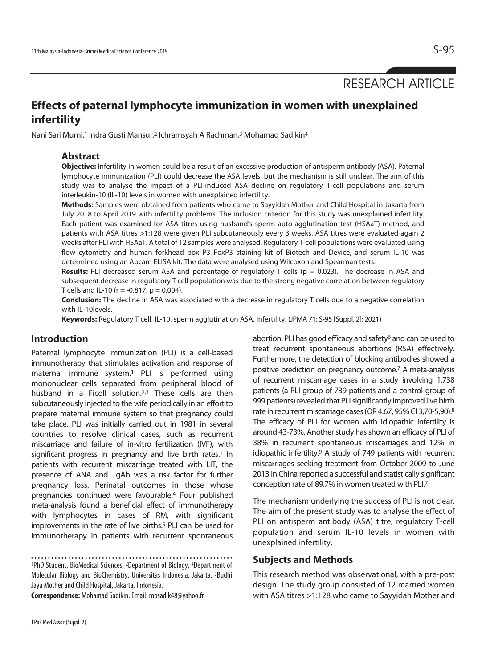RESEARCH ARTICLE

# **Effects of paternal lymphocyte immunization in women with unexplained infertility**

Nani Sari Murni,<sup>1</sup> Indra Gusti Mansur,<sup>2</sup> Ichramsyah A Rachman,<sup>3</sup> Mohamad Sadikin<sup>4</sup>

#### **Abstract**

**Objective:** Infertility in women could be a result of an excessive production of antisperm antibody (ASA). Paternal lymphocyte immunization (PLI) could decrease the ASA levels, but the mechanism is still unclear. The aim of this study was to analyse the impact of a PLI-induced ASA decline on regulatory T-cell populations and serum interleukin-10 (IL-10) levels in women with unexplained infertility.

**Methods:** Samples were obtained from patients who came to Sayyidah Mother and Child Hospital in Jakarta from July 2018 to April 2019 with infertility problems. The inclusion criterion for this study was unexplained infertility. Each patient was examined for ASA titres using husband's sperm auto-agglutination test (HSAaT) method, and patients with ASA titres >1:128 were given PLI subcutaneously every 3 weeks. ASA titres were evaluated again 2 weeks after PLI with HSAaT. A total of 12 samples were analysed. Regulatory T-cell populations were evaluated using flow cytometry and human forkhead box P3 FoxP3 staining kit of Biotech and Device, and serum IL-10 was determined using an Abcam ELISA kit. The data were analysed using Wilcoxon and Spearman tests.

**Results:** PLI decreased serum ASA and percentage of regulatory T cells (p = 0.023). The decrease in ASA and subsequent decrease in regulatory T cell population was due to the strong negative correlation between regulatory T cells and IL-10 ( $r = -0.817$ ,  $p = 0.004$ ).

**Conclusion:** The decline in ASA was associated with a decrease in regulatory T cells due to a negative correlation with IL-10levels.

**Keywords:** Regulatory T cell, IL-10, sperm agglutination ASA, Infertility. (JPMA 71: S-95 [Suppl. 2]; 2021)

# **Introduction**

Paternal lymphocyte immunization (PLI) is a cell-based immunotherapy that stimulates activation and response of maternal immune system.1 PLI is performed using mononuclear cells separated from peripheral blood of husband in a Ficoll solution.<sup>2,3</sup> These cells are then subcutaneously injected to the wife periodically in an effort to prepare maternal immune system so that pregnancy could take place. PLI was initially carried out in 1981 in several countries to resolve clinical cases, such as recurrent miscarriage and failure of in-vitro fertilization (IVF), with significant progress in pregnancy and live birth rates.<sup>1</sup> In patients with recurrent miscarriage treated with LIT, the presence of ANA and TgAb was a risk factor for further pregnancy loss. Perinatal outcomes in those whose pregnancies continued were favourable.4 Four published meta-analysis found a beneficial effect of immunotherapy with lymphocytes in cases of RM, with significant improvements in the rate of live births.<sup>5</sup> PLI can be used for immunotherapy in patients with recurrent spontaneous

1PhD Student, BioMedical Sciences, 2Department of Biology, 4Department of Molecular Biology and BioChemistry, Universitas Indonesia, Jakarta, 3Budhi Jaya Mother and Child Hospital, Jakarta, Indonesia.

**Correspondence:** Mohamad Sadikin. Email: mosadik48@yahoo.fr

abortion. PLI has good efficacy and safety<sup>6</sup> and can be used to treat recurrent spontaneous abortions (RSA) effectively. Furthermore, the detection of blocking antibodies showed a positive prediction on pregnancy outcome.7 A meta-analysis of recurrent miscarriage cases in a study involving 1,738 patients (a PLI group of 739 patients and a control group of 999 patients) revealed that PLI significantly improved live birth rate in recurrent miscarriage cases (OR 4.67, 95% CI 3,70-5,90).8 The efficacy of PLI for women with idiopathic infertility is around 43-73%. Another study has shown an efficacy of PLI of 38% in recurrent spontaneous miscarriages and 12% in idiopathic infertility.9 A study of 749 patients with recurrent miscarriages seeking treatment from October 2009 to June 2013 in China reported a successful and statistically significant conception rate of 89.7% in women treated with PLI.7

The mechanism underlying the success of PLI is not clear. The aim of the present study was to analyse the effect of PLI on antisperm antibody (ASA) titre, regulatory T-cell population and serum IL-10 levels in women with unexplained infertility.

# **Subjects and Methods**

This research method was observational, with a pre-post design. The study group consisted of 12 married women with ASA titres >1:128 who came to Sayyidah Mother and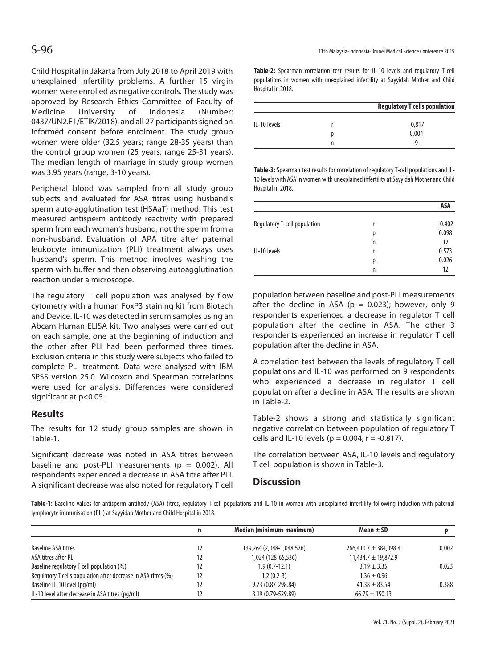Child Hospital in Jakarta from July 2018 to April 2019 with unexplained infertility problems. A further 15 virgin women were enrolled as negative controls. The study was approved by Research Ethics Committee of Faculty of Medicine University of Indonesia (Number: 0437/UN2.F1/ETIK/2018), and all 27 participants signed an informed consent before enrolment. The study group women were older (32.5 years; range 28-35 years) than the control group women (25 years; range 25-31 years). The median length of marriage in study group women was 3.95 years (range, 3-10 years).

Peripheral blood was sampled from all study group subjects and evaluated for ASA titres using husband's sperm auto-agglutination test (HSAaT) method. This test measured antisperm antibody reactivity with prepared sperm from each woman's husband, not the sperm from a non-husband. Evaluation of APA titre after paternal leukocyte immunization (PLI) treatment always uses husband's sperm. This method involves washing the sperm with buffer and then observing autoagglutination reaction under a microscope.

The regulatory T cell population was analysed by flow cytometry with a human FoxP3 staining kit from Biotech and Device. IL-10 was detected in serum samples using an Abcam Human ELISA kit. Two analyses were carried out on each sample, one at the beginning of induction and the other after PLI had been performed three times. Exclusion criteria in this study were subjects who failed to complete PLI treatment. Data were analysed with IBM SPSS version 25.0. Wilcoxon and Spearman correlations were used for analysis. Differences were considered significant at p<0.05.

# **Results**

The results for 12 study group samples are shown in Table-1.

Significant decrease was noted in ASA titres between baseline and post-PLI measurements ( $p = 0.002$ ). All respondents experienced a decrease in ASA titre after PLI. A significant decrease was also noted for regulatory T cell

**Table-2:** Spearman correlation test results for IL-10 levels and regulatory T-cell populations in women with unexplained infertility at Sayyidah Mother and Child Hospital in 2018.

|              | <b>Regulatory T cells population</b> |  |  |
|--------------|--------------------------------------|--|--|
| IL-10 levels | $-0,817$                             |  |  |
|              | 0,004                                |  |  |
|              | q                                    |  |  |

**Table-3:** Spearman test results for correlation of regulatory T-cell populations and IL-10 levels with ASA in women with unexplained infertility at Sayyidah Mother and Child Hospital in 2018.

|                              |   | ASA      |
|------------------------------|---|----------|
| Regulatory T-cell population | r | $-0.402$ |
|                              | р | 0.098    |
|                              | n | 12       |
| IL-10 levels                 | r | 0.573    |
|                              | р | 0.026    |
|                              | n | 12       |

population between baseline and post-PLI measurements after the decline in ASA ( $p = 0.023$ ); however, only 9 respondents experienced a decrease in regulator T cell population after the decline in ASA. The other 3 respondents experienced an increase in regulator T cell population after the decline in ASA.

A correlation test between the levels of regulatory T cell populations and IL-10 was performed on 9 respondents who experienced a decrease in regulator T cell population after a decline in ASA. The results are shown in Table-2.

Table-2 shows a strong and statistically significant negative correlation between population of regulatory T cells and IL-10 levels ( $p = 0.004$ ,  $r = -0.817$ ).

The correlation between ASA, IL-10 levels and regulatory T cell population is shown in Table-3.

# **Discussion**

**Table-1:** Baseline values for antisperm antibody (ASA) titres, regulatory T-cell populations and IL-10 in women with unexplained infertility following induction with paternal lymphocyte immunisation (PLI) at Sayyidah Mother and Child Hospital in 2018.

|                                                                | n  | Median (minimum-maximum)  | Mean $\pm$ SD             |       |
|----------------------------------------------------------------|----|---------------------------|---------------------------|-------|
| Baseline ASA titres                                            | 12 | 139,264 (2,048-1,048,576) | $266,410.7 \pm 384,098.4$ | 0.002 |
| ASA titres after PLI                                           | 12 | 1,024 (128-65,536)        | $11,434.7 \pm 19,872.9$   |       |
| Baseline regulatory T cell population (%)                      | 12 | $1.9(0.7-12.1)$           | $3.19 \pm 3.35$           | 0.023 |
| Regulatory T cells population after decrease in ASA titres (%) | 12 | $1.2(0.2-3)$              | $1.36 \pm 0.96$           |       |
| Baseline IL-10 level (pg/ml)                                   | 12 | 9.73 (0.87-298.84)        | $41.38 \pm 83.54$         | 0.388 |
| IL-10 level after decrease in ASA titres (pg/ml)               |    | 8.19 (0.79-529.89)        | $66.79 \pm 150.13$        |       |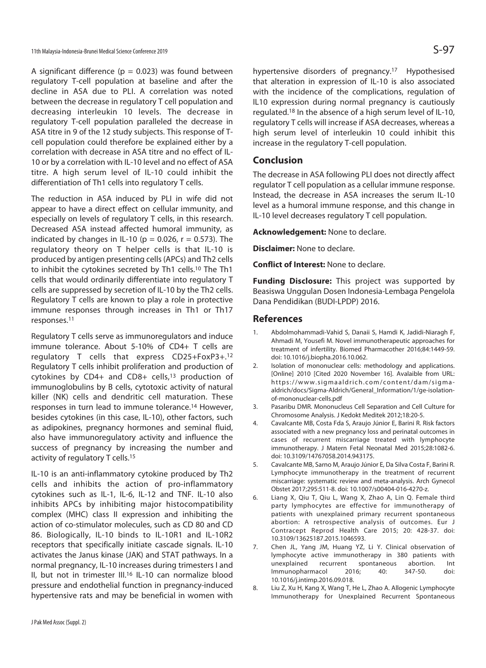A significant difference ( $p = 0.023$ ) was found between regulatory T-cell population at baseline and after the decline in ASA due to PLI. A correlation was noted between the decrease in regulatory T cell population and decreasing interleukin 10 levels. The decrease in regulatory T-cell population paralleled the decrease in ASA titre in 9 of the 12 study subjects. This response of Tcell population could therefore be explained either by a correlation with decrease in ASA titre and no effect of IL-10 or by a correlation with IL-10 level and no effect of ASA titre. A high serum level of IL-10 could inhibit the differentiation of Th1 cells into regulatory T cells.

The reduction in ASA induced by PLI in wife did not appear to have a direct effect on cellular immunity, and especially on levels of regulatory T cells, in this research. Decreased ASA instead affected humoral immunity, as indicated by changes in IL-10 ( $p = 0.026$ ,  $r = 0.573$ ). The regulatory theory on T helper cells is that IL-10 is produced by antigen presenting cells (APCs) and Th2 cells to inhibit the cytokines secreted by Th1 cells.10 The Th1 cells that would ordinarily differentiate into regulatory T cells are suppressed by secretion of IL-10 by the Th2 cells. Regulatory T cells are known to play a role in protective immune responses through increases in Th1 or Th17 responses.11

Regulatory T cells serve as immunoregulators and induce immune tolerance. About 5-10% of CD4+ T cells are regulatory T cells that express CD25+FoxP3+.12 Regulatory T cells inhibit proliferation and production of cytokines by CD4+ and CD8+ cells,13 production of immunoglobulins by B cells, cytotoxic activity of natural killer (NK) cells and dendritic cell maturation. These responses in turn lead to immune tolerance.14 However, besides cytokines (in this case, IL-10), other factors, such as adipokines, pregnancy hormones and seminal fluid, also have immunoregulatory activity and influence the success of pregnancy by increasing the number and activity of regulatory T cells.15

IL-10 is an anti-inflammatory cytokine produced by Th2 cells and inhibits the action of pro-inflammatory cytokines such as IL-1, IL-6, IL-12 and TNF. IL-10 also inhibits APCs by inhibiting major histocompatibility complex (MHC) class II expression and inhibiting the action of co-stimulator molecules, such as CD 80 and CD 86. Biologically, IL-10 binds to IL-10R1 and IL-10R2 receptors that specifically initiate cascade signals. IL-10 activates the Janus kinase (JAK) and STAT pathways. In a normal pregnancy, IL-10 increases during trimesters I and II, but not in trimester III.16 IL-10 can normalize blood pressure and endothelial function in pregnancy-induced hypertensive rats and may be beneficial in women with

hypertensive disorders of pregnancy.17 Hypothesised that alteration in expression of IL-10 is also associated with the incidence of the complications, regulation of IL10 expression during normal pregnancy is cautiously regulated.18 In the absence of a high serum level of IL-10, regulatory T cells will increase if ASA decreases, whereas a high serum level of interleukin 10 could inhibit this increase in the regulatory T-cell population.

#### **Conclusion**

The decrease in ASA following PLI does not directly affect regulator T cell population as a cellular immune response. Instead, the decrease in ASA increases the serum IL-10 level as a humoral immune response, and this change in IL-10 level decreases regulatory T cell population.

**Acknowledgement:** None to declare.

**Disclaimer:** None to declare.

**Conflict of Interest:** None to declare.

**Funding Disclosure:** This project was supported by Beasiswa Unggulan Dosen Indonesia-Lembaga Pengelola Dana Pendidikan (BUDI-LPDP) 2016.

#### **References**

- 1. Abdolmohammadi-Vahid S, Danaii S, Hamdi K, Jadidi-Niaragh F, Ahmadi M, Yousefi M. Novel immunotherapeutic approaches for treatment of infertility. Biomed Pharmacother 2016;84:1449-59. doi: 10.1016/j.biopha.2016.10.062.
- 2. Isolation of mononuclear cells: methodology and applications. [Online] 2010 [Cited 2020 November 16]. Avalaible from URL: https://www.sigmaaldrich.com/content/dam/sigmaaldrich/docs/Sigma-Aldrich/General\_Information/1/ge-isolationof-mononuclear-cells.pdf
- 3. Pasaribu DMR. Mononucleus Cell Separation and Cell Culture for Chromosome Analysis. J Kedokt Meditek 2012;18:20-5.
- 4. Cavalcante MB, Costa Fda S, Araujo Júnior E, Barini R. Risk factors associated with a new pregnancy loss and perinatal outcomes in cases of recurrent miscarriage treated with lymphocyte immunotherapy. J Matern Fetal Neonatal Med 2015;28:1082-6. doi: 10.3109/14767058.2014.943175.
- 5. Cavalcante MB, Sarno M, Araujo Júnior E, Da Silva Costa F, Barini R. Lymphocyte immunotherapy in the treatment of recurrent miscarriage: systematic review and meta-analysis. Arch Gynecol Obstet 2017;295:511-8. doi: 10.1007/s00404-016-4270-z.
- 6. Liang X, Qiu T, Qiu L, Wang X, Zhao A, Lin Q. Female third party lymphocytes are effective for immunotherapy of patients with unexplained primary recurrent spontaneous abortion: A retrospective analysis of outcomes. Eur J Contracept Reprod Health Care 2015; 20: 428-37. doi: 10.3109/13625187.2015.1046593.
- 7. Chen JL, Yang JM, Huang YZ, Li Y. Clinical observation of lymphocyte active immunotherapy in 380 patients with unexplained recurrent spontaneous abortion. Int Immunopharmacol 2016; 40: 347-50. doi: 10.1016/j.intimp.2016.09.018.
- 8. Liu Z, Xu H, Kang X, Wang T, He L, Zhao A. Allogenic Lymphocyte Immunotherapy for Unexplained Recurrent Spontaneous